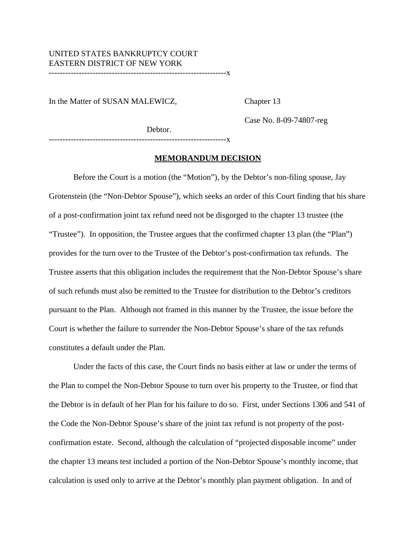#### UNITED STATES BANKRUPTCY COURT EASTERN DISTRICT OF NEW YORK -----------------------------------------------------------------x

In the Matter of SUSAN MALEWICZ, Chapter 13

Case No. 8-09-74807-reg

Debtor.

-----------------------------------------------------------------x

#### **MEMORANDUM DECISION**

Before the Court is a motion (the "Motion"), by the Debtor's non-filing spouse, Jay Grotenstein (the "Non-Debtor Spouse"), which seeks an order of this Court finding that his share of a post-confirmation joint tax refund need not be disgorged to the chapter 13 trustee (the "Trustee"). In opposition, the Trustee argues that the confirmed chapter 13 plan (the "Plan") provides for the turn over to the Trustee of the Debtor's post-confirmation tax refunds. The Trustee asserts that this obligation includes the requirement that the Non-Debtor Spouse's share of such refunds must also be remitted to the Trustee for distribution to the Debtor's creditors pursuant to the Plan. Although not framed in this manner by the Trustee, the issue before the Court is whether the failure to surrender the Non-Debtor Spouse's share of the tax refunds constitutes a default under the Plan.

Under the facts of this case, the Court finds no basis either at law or under the terms of the Plan to compel the Non-Debtor Spouse to turn over his property to the Trustee, or find that the Debtor is in default of her Plan for his failure to do so. First, under Sections 1306 and 541 of the Code the Non-Debtor Spouse's share of the joint tax refund is not property of the postconfirmation estate. Second, although the calculation of "projected disposable income" under the chapter 13 means test included a portion of the Non-Debtor Spouse's monthly income, that calculation is used only to arrive at the Debtor's monthly plan payment obligation. In and of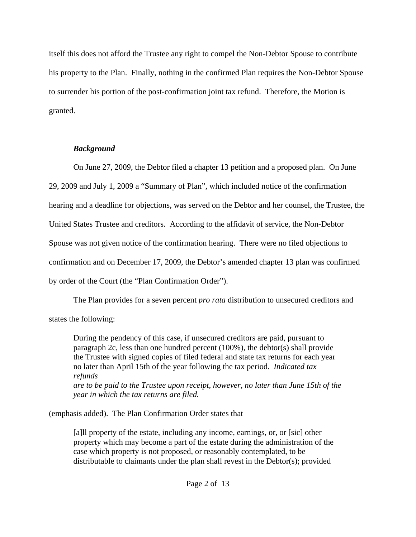itself this does not afford the Trustee any right to compel the Non-Debtor Spouse to contribute his property to the Plan. Finally, nothing in the confirmed Plan requires the Non-Debtor Spouse to surrender his portion of the post-confirmation joint tax refund. Therefore, the Motion is granted.

# *Background*

On June 27, 2009, the Debtor filed a chapter 13 petition and a proposed plan. On June 29, 2009 and July 1, 2009 a "Summary of Plan", which included notice of the confirmation hearing and a deadline for objections, was served on the Debtor and her counsel, the Trustee, the United States Trustee and creditors. According to the affidavit of service, the Non-Debtor Spouse was not given notice of the confirmation hearing. There were no filed objections to confirmation and on December 17, 2009, the Debtor's amended chapter 13 plan was confirmed by order of the Court (the "Plan Confirmation Order").

The Plan provides for a seven percent *pro rata* distribution to unsecured creditors and states the following:

During the pendency of this case, if unsecured creditors are paid, pursuant to paragraph 2c, less than one hundred percent (100%), the debtor(s) shall provide the Trustee with signed copies of filed federal and state tax returns for each year no later than April 15th of the year following the tax period. *Indicated tax refunds are to be paid to the Trustee upon receipt, however, no later than June 15th of the year in which the tax returns are filed.*

(emphasis added). The Plan Confirmation Order states that

[a]ll property of the estate, including any income, earnings, or, or [sic] other property which may become a part of the estate during the administration of the case which property is not proposed, or reasonably contemplated, to be distributable to claimants under the plan shall revest in the Debtor(s); provided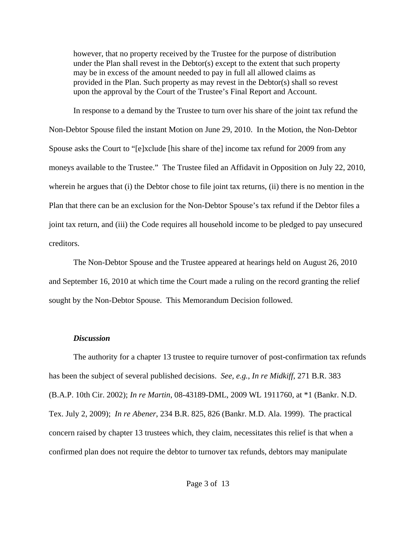however, that no property received by the Trustee for the purpose of distribution under the Plan shall revest in the Debtor(s) except to the extent that such property may be in excess of the amount needed to pay in full all allowed claims as provided in the Plan. Such property as may revest in the Debtor(s) shall so revest upon the approval by the Court of the Trustee's Final Report and Account.

In response to a demand by the Trustee to turn over his share of the joint tax refund the Non-Debtor Spouse filed the instant Motion on June 29, 2010. In the Motion, the Non-Debtor Spouse asks the Court to "[e]xclude [his share of the] income tax refund for 2009 from any moneys available to the Trustee." The Trustee filed an Affidavit in Opposition on July 22, 2010, wherein he argues that (i) the Debtor chose to file joint tax returns, (ii) there is no mention in the Plan that there can be an exclusion for the Non-Debtor Spouse's tax refund if the Debtor files a joint tax return, and (iii) the Code requires all household income to be pledged to pay unsecured creditors.

The Non-Debtor Spouse and the Trustee appeared at hearings held on August 26, 2010 and September 16, 2010 at which time the Court made a ruling on the record granting the relief sought by the Non-Debtor Spouse. This Memorandum Decision followed.

#### *Discussion*

The authority for a chapter 13 trustee to require turnover of post-confirmation tax refunds has been the subject of several published decisions. *See, e.g.*, *In re Midkiff*, 271 B.R. 383 (B.A.P. 10th Cir. 2002); *In re Martin*, 08-43189-DML, 2009 WL 1911760, at \*1 (Bankr. N.D. Tex. July 2, 2009); *In re Abener*, 234 B.R. 825, 826 (Bankr. M.D. Ala. 1999). The practical concern raised by chapter 13 trustees which, they claim, necessitates this relief is that when a confirmed plan does not require the debtor to turnover tax refunds, debtors may manipulate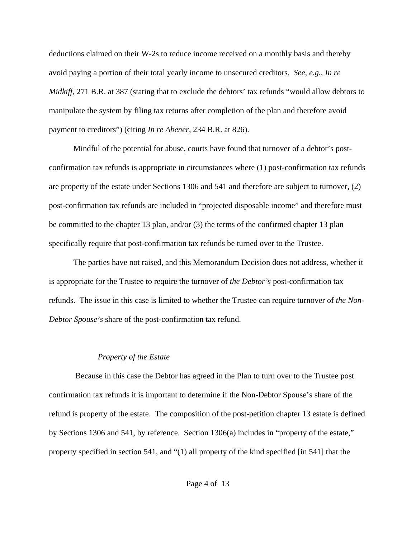deductions claimed on their W-2s to reduce income received on a monthly basis and thereby avoid paying a portion of their total yearly income to unsecured creditors. *See, e.g.*, *In re Midkiff*, 271 B.R. at 387 (stating that to exclude the debtors' tax refunds "would allow debtors to manipulate the system by filing tax returns after completion of the plan and therefore avoid payment to creditors") (citing *In re Abener*, 234 B.R. at 826).

Mindful of the potential for abuse, courts have found that turnover of a debtor's postconfirmation tax refunds is appropriate in circumstances where (1) post-confirmation tax refunds are property of the estate under Sections 1306 and 541 and therefore are subject to turnover, (2) post-confirmation tax refunds are included in "projected disposable income" and therefore must be committed to the chapter 13 plan, and/or (3) the terms of the confirmed chapter 13 plan specifically require that post-confirmation tax refunds be turned over to the Trustee.

The parties have not raised, and this Memorandum Decision does not address, whether it is appropriate for the Trustee to require the turnover of *the Debtor's* post-confirmation tax refunds. The issue in this case is limited to whether the Trustee can require turnover of *the Non-Debtor Spouse's* share of the post-confirmation tax refund.

## *Property of the Estate*

 Because in this case the Debtor has agreed in the Plan to turn over to the Trustee post confirmation tax refunds it is important to determine if the Non-Debtor Spouse's share of the refund is property of the estate. The composition of the post-petition chapter 13 estate is defined by Sections 1306 and 541, by reference. Section 1306(a) includes in "property of the estate," property specified in section 541, and "(1) all property of the kind specified [in 541] that the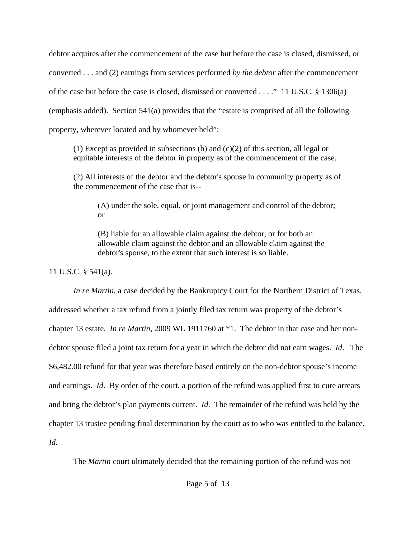debtor acquires after the commencement of the case but before the case is closed, dismissed, or converted . . . and (2) earnings from services performed *by the debtor* after the commencement of the case but before the case is closed, dismissed or converted . . . ." 11 U.S.C. § 1306(a) (emphasis added). Section 541(a) provides that the "estate is comprised of all the following property, wherever located and by whomever held":

(1) Except as provided in subsections (b) and  $(c)(2)$  of this section, all legal or equitable interests of the debtor in property as of the commencement of the case.

(2) All interests of the debtor and the debtor's spouse in community property as of the commencement of the case that is--

(A) under the sole, equal, or joint management and control of the debtor; or

(B) liable for an allowable claim against the debtor, or for both an allowable claim against the debtor and an allowable claim against the debtor's spouse, to the extent that such interest is so liable.

11 U.S.C. § 541(a).

*In re Martin*, a case decided by the Bankruptcy Court for the Northern District of Texas, addressed whether a tax refund from a jointly filed tax return was property of the debtor's chapter 13 estate. *In re Martin*, 2009 WL 1911760 at \*1. The debtor in that case and her nondebtor spouse filed a joint tax return for a year in which the debtor did not earn wages. *Id*. The \$6,482.00 refund for that year was therefore based entirely on the non-debtor spouse's income and earnings. *Id*. By order of the court, a portion of the refund was applied first to cure arrears and bring the debtor's plan payments current. *Id*. The remainder of the refund was held by the chapter 13 trustee pending final determination by the court as to who was entitled to the balance. *Id*.

The *Martin* court ultimately decided that the remaining portion of the refund was not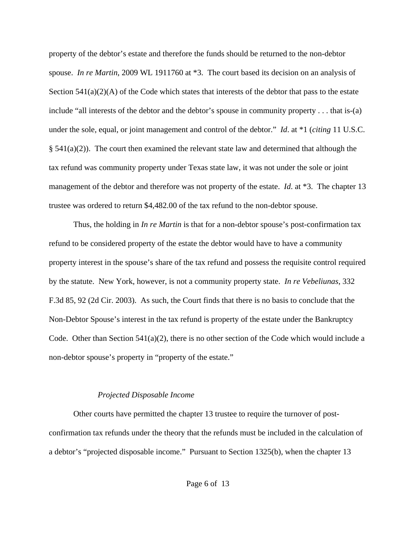property of the debtor's estate and therefore the funds should be returned to the non-debtor spouse. *In re Martin*, 2009 WL 1911760 at \*3. The court based its decision on an analysis of Section  $541(a)(2)(A)$  of the Code which states that interests of the debtor that pass to the estate include "all interests of the debtor and the debtor's spouse in community property . . . that is-(a) under the sole, equal, or joint management and control of the debtor." *Id*. at \*1 (*citing* 11 U.S.C.  $\S$  541(a)(2)). The court then examined the relevant state law and determined that although the tax refund was community property under Texas state law, it was not under the sole or joint management of the debtor and therefore was not property of the estate. *Id*. at \*3. The chapter 13 trustee was ordered to return \$4,482.00 of the tax refund to the non-debtor spouse.

Thus, the holding in *In re Martin* is that for a non-debtor spouse's post-confirmation tax refund to be considered property of the estate the debtor would have to have a community property interest in the spouse's share of the tax refund and possess the requisite control required by the statute. New York, however, is not a community property state. *In re Vebeliunas*, 332 F.3d 85, 92 (2d Cir. 2003). As such, the Court finds that there is no basis to conclude that the Non-Debtor Spouse's interest in the tax refund is property of the estate under the Bankruptcy Code. Other than Section 541(a)(2), there is no other section of the Code which would include a non-debtor spouse's property in "property of the estate."

## *Projected Disposable Income*

Other courts have permitted the chapter 13 trustee to require the turnover of postconfirmation tax refunds under the theory that the refunds must be included in the calculation of a debtor's "projected disposable income." Pursuant to Section 1325(b), when the chapter 13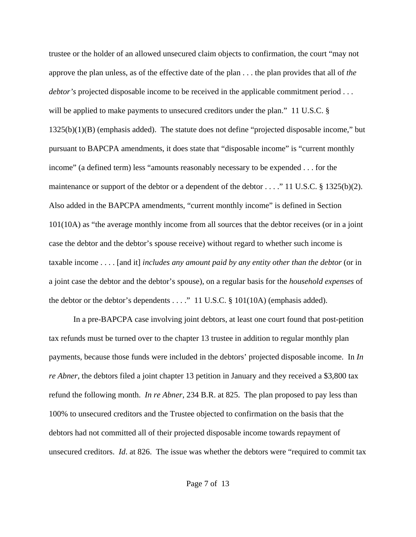trustee or the holder of an allowed unsecured claim objects to confirmation, the court "may not approve the plan unless, as of the effective date of the plan . . . the plan provides that all of *the debtor's* projected disposable income to be received in the applicable commitment period . . . will be applied to make payments to unsecured creditors under the plan." 11 U.S.C. § 1325(b)(1)(B) (emphasis added). The statute does not define "projected disposable income," but pursuant to BAPCPA amendments, it does state that "disposable income" is "current monthly income" (a defined term) less "amounts reasonably necessary to be expended . . . for the maintenance or support of the debtor or a dependent of the debtor . . . ." 11 U.S.C. § 1325(b)(2). Also added in the BAPCPA amendments, "current monthly income" is defined in Section 101(10A) as "the average monthly income from all sources that the debtor receives (or in a joint case the debtor and the debtor's spouse receive) without regard to whether such income is taxable income . . . . [and it] *includes any amount paid by any entity other than the debtor* (or in a joint case the debtor and the debtor's spouse), on a regular basis for the *household expenses* of the debtor or the debtor's dependents . . . ." 11 U.S.C. § 101(10A) (emphasis added).

In a pre-BAPCPA case involving joint debtors, at least one court found that post-petition tax refunds must be turned over to the chapter 13 trustee in addition to regular monthly plan payments, because those funds were included in the debtors' projected disposable income. In *In re Abner*, the debtors filed a joint chapter 13 petition in January and they received a \$3,800 tax refund the following month. *In re Abner*, 234 B.R. at 825. The plan proposed to pay less than 100% to unsecured creditors and the Trustee objected to confirmation on the basis that the debtors had not committed all of their projected disposable income towards repayment of unsecured creditors. *Id*. at 826. The issue was whether the debtors were "required to commit tax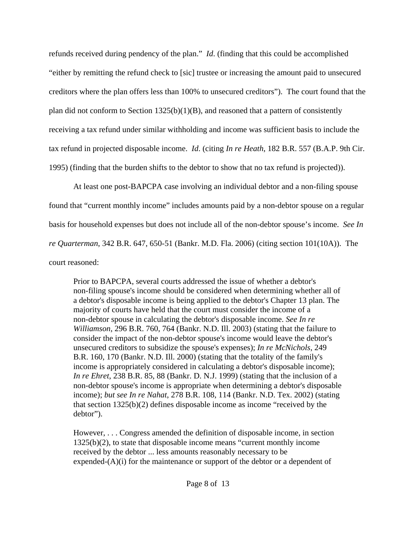refunds received during pendency of the plan." *Id*. (finding that this could be accomplished "either by remitting the refund check to [sic] trustee or increasing the amount paid to unsecured creditors where the plan offers less than 100% to unsecured creditors"). The court found that the plan did not conform to Section 1325(b)(1)(B), and reasoned that a pattern of consistently receiving a tax refund under similar withholding and income was sufficient basis to include the tax refund in projected disposable income. *Id*. (citing *In re Heath*, 182 B.R. 557 (B.A.P. 9th Cir. 1995) (finding that the burden shifts to the debtor to show that no tax refund is projected)).

At least one post-BAPCPA case involving an individual debtor and a non-filing spouse found that "current monthly income" includes amounts paid by a non-debtor spouse on a regular basis for household expenses but does not include all of the non-debtor spouse's income. *See In re Quarterman*, 342 B.R. 647, 650-51 (Bankr. M.D. Fla. 2006) (citing section 101(10A)). The court reasoned:

Prior to BAPCPA, several courts addressed the issue of whether a debtor's non-filing spouse's income should be considered when determining whether all of a debtor's disposable income is being applied to the debtor's Chapter 13 plan. The majority of courts have held that the court must consider the income of a non-debtor spouse in calculating the debtor's disposable income. *See In re Williamson*, 296 B.R. 760, 764 (Bankr. N.D. Ill. 2003) (stating that the failure to consider the impact of the non-debtor spouse's income would leave the debtor's unsecured creditors to subsidize the spouse's expenses); *In re McNichols*, 249 B.R. 160, 170 (Bankr. N.D. Ill. 2000) (stating that the totality of the family's income is appropriately considered in calculating a debtor's disposable income); *In re Ehret*, 238 B.R. 85, 88 (Bankr. D. N.J. 1999) (stating that the inclusion of a non-debtor spouse's income is appropriate when determining a debtor's disposable income); *but see In re Nahat*, 278 B.R. 108, 114 (Bankr. N.D. Tex. 2002) (stating that section  $1325(b)(2)$  defines disposable income as income "received by the debtor").

However, . . . Congress amended the definition of disposable income, in section 1325(b)(2), to state that disposable income means "current monthly income received by the debtor ... less amounts reasonably necessary to be expended $(A)(i)$  for the maintenance or support of the debtor or a dependent of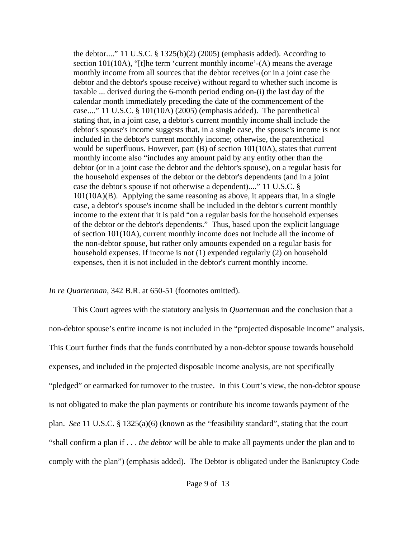the debtor...." 11 U.S.C.  $\S$  1325(b)(2) (2005) (emphasis added). According to section 101(10A), "[t]he term 'current monthly income'-(A) means the average monthly income from all sources that the debtor receives (or in a joint case the debtor and the debtor's spouse receive) without regard to whether such income is taxable ... derived during the 6-month period ending on-(i) the last day of the calendar month immediately preceding the date of the commencement of the case...." 11 U.S.C. § 101(10A) (2005) (emphasis added). The parenthetical stating that, in a joint case, a debtor's current monthly income shall include the debtor's spouse's income suggests that, in a single case, the spouse's income is not included in the debtor's current monthly income; otherwise, the parenthetical would be superfluous. However, part (B) of section 101(10A), states that current monthly income also "includes any amount paid by any entity other than the debtor (or in a joint case the debtor and the debtor's spouse), on a regular basis for the household expenses of the debtor or the debtor's dependents (and in a joint case the debtor's spouse if not otherwise a dependent)...." 11 U.S.C. § 101(10A)(B). Applying the same reasoning as above, it appears that, in a single case, a debtor's spouse's income shall be included in the debtor's current monthly income to the extent that it is paid "on a regular basis for the household expenses of the debtor or the debtor's dependents." Thus, based upon the explicit language of section 101(10A), current monthly income does not include all the income of the non-debtor spouse, but rather only amounts expended on a regular basis for household expenses. If income is not (1) expended regularly (2) on household expenses, then it is not included in the debtor's current monthly income.

*In re Quarterman*, 342 B.R. at 650-51 (footnotes omitted).

This Court agrees with the statutory analysis in *Quarterman* and the conclusion that a non-debtor spouse's entire income is not included in the "projected disposable income" analysis. This Court further finds that the funds contributed by a non-debtor spouse towards household expenses, and included in the projected disposable income analysis, are not specifically "pledged" or earmarked for turnover to the trustee. In this Court's view, the non-debtor spouse is not obligated to make the plan payments or contribute his income towards payment of the plan. *See* 11 U.S.C. § 1325(a)(6) (known as the "feasibility standard", stating that the court "shall confirm a plan if . . . *the debtor* will be able to make all payments under the plan and to comply with the plan") (emphasis added). The Debtor is obligated under the Bankruptcy Code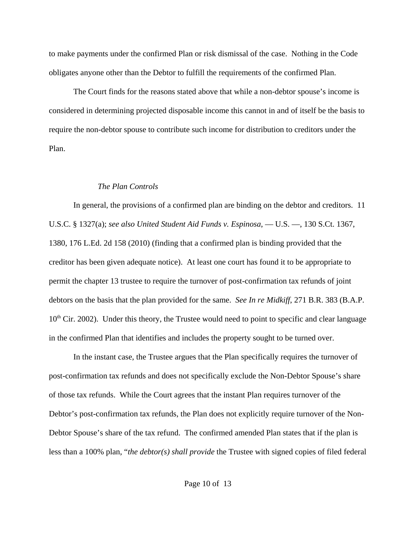to make payments under the confirmed Plan or risk dismissal of the case. Nothing in the Code obligates anyone other than the Debtor to fulfill the requirements of the confirmed Plan.

The Court finds for the reasons stated above that while a non-debtor spouse's income is considered in determining projected disposable income this cannot in and of itself be the basis to require the non-debtor spouse to contribute such income for distribution to creditors under the Plan.

## *The Plan Controls*

In general, the provisions of a confirmed plan are binding on the debtor and creditors. 11 U.S.C. § 1327(a); *see also United Student Aid Funds v. Espinosa*, — U.S. —, 130 S.Ct. 1367, 1380, 176 L.Ed. 2d 158 (2010) (finding that a confirmed plan is binding provided that the creditor has been given adequate notice). At least one court has found it to be appropriate to permit the chapter 13 trustee to require the turnover of post-confirmation tax refunds of joint debtors on the basis that the plan provided for the same. *See In re Midkiff*, 271 B.R. 383 (B.A.P.  $10<sup>th</sup>$  Cir. 2002). Under this theory, the Trustee would need to point to specific and clear language in the confirmed Plan that identifies and includes the property sought to be turned over.

In the instant case, the Trustee argues that the Plan specifically requires the turnover of post-confirmation tax refunds and does not specifically exclude the Non-Debtor Spouse's share of those tax refunds. While the Court agrees that the instant Plan requires turnover of the Debtor's post-confirmation tax refunds, the Plan does not explicitly require turnover of the Non-Debtor Spouse's share of the tax refund. The confirmed amended Plan states that if the plan is less than a 100% plan, "*the debtor(s) shall provide* the Trustee with signed copies of filed federal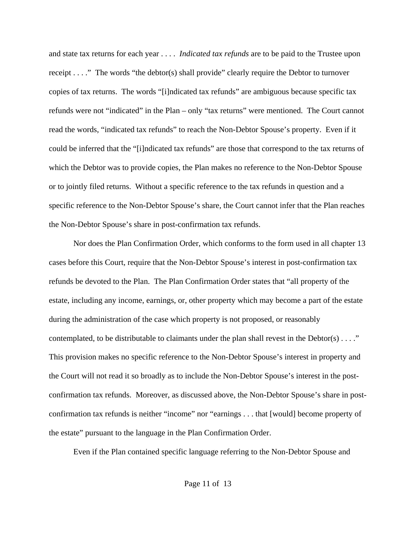and state tax returns for each year . . . . *Indicated tax refunds* are to be paid to the Trustee upon receipt . . . ." The words "the debtor(s) shall provide" clearly require the Debtor to turnover copies of tax returns. The words "[i]ndicated tax refunds" are ambiguous because specific tax refunds were not "indicated" in the Plan – only "tax returns" were mentioned. The Court cannot read the words, "indicated tax refunds" to reach the Non-Debtor Spouse's property. Even if it could be inferred that the "[i]ndicated tax refunds" are those that correspond to the tax returns of which the Debtor was to provide copies, the Plan makes no reference to the Non-Debtor Spouse or to jointly filed returns. Without a specific reference to the tax refunds in question and a specific reference to the Non-Debtor Spouse's share, the Court cannot infer that the Plan reaches the Non-Debtor Spouse's share in post-confirmation tax refunds.

Nor does the Plan Confirmation Order, which conforms to the form used in all chapter 13 cases before this Court, require that the Non-Debtor Spouse's interest in post-confirmation tax refunds be devoted to the Plan. The Plan Confirmation Order states that "all property of the estate, including any income, earnings, or, other property which may become a part of the estate during the administration of the case which property is not proposed, or reasonably contemplated, to be distributable to claimants under the plan shall revest in the Debtor(s)  $\dots$ ." This provision makes no specific reference to the Non-Debtor Spouse's interest in property and the Court will not read it so broadly as to include the Non-Debtor Spouse's interest in the postconfirmation tax refunds. Moreover, as discussed above, the Non-Debtor Spouse's share in postconfirmation tax refunds is neither "income" nor "earnings . . . that [would] become property of the estate" pursuant to the language in the Plan Confirmation Order.

Even if the Plan contained specific language referring to the Non-Debtor Spouse and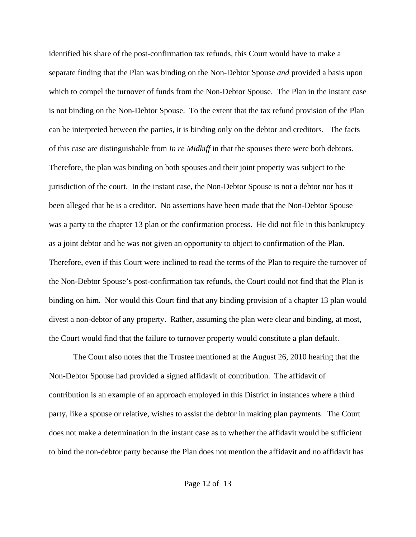identified his share of the post-confirmation tax refunds, this Court would have to make a separate finding that the Plan was binding on the Non-Debtor Spouse *and* provided a basis upon which to compel the turnover of funds from the Non-Debtor Spouse. The Plan in the instant case is not binding on the Non-Debtor Spouse. To the extent that the tax refund provision of the Plan can be interpreted between the parties, it is binding only on the debtor and creditors. The facts of this case are distinguishable from *In re Midkiff* in that the spouses there were both debtors. Therefore, the plan was binding on both spouses and their joint property was subject to the jurisdiction of the court. In the instant case, the Non-Debtor Spouse is not a debtor nor has it been alleged that he is a creditor. No assertions have been made that the Non-Debtor Spouse was a party to the chapter 13 plan or the confirmation process. He did not file in this bankruptcy as a joint debtor and he was not given an opportunity to object to confirmation of the Plan. Therefore, even if this Court were inclined to read the terms of the Plan to require the turnover of the Non-Debtor Spouse's post-confirmation tax refunds, the Court could not find that the Plan is binding on him. Nor would this Court find that any binding provision of a chapter 13 plan would divest a non-debtor of any property. Rather, assuming the plan were clear and binding, at most, the Court would find that the failure to turnover property would constitute a plan default.

The Court also notes that the Trustee mentioned at the August 26, 2010 hearing that the Non-Debtor Spouse had provided a signed affidavit of contribution. The affidavit of contribution is an example of an approach employed in this District in instances where a third party, like a spouse or relative, wishes to assist the debtor in making plan payments. The Court does not make a determination in the instant case as to whether the affidavit would be sufficient to bind the non-debtor party because the Plan does not mention the affidavit and no affidavit has